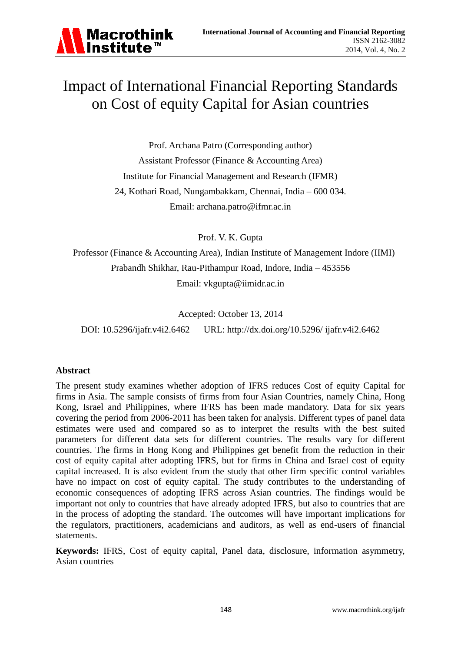

# Impact of International Financial Reporting Standards on Cost of equity Capital for Asian countries

Prof. Archana Patro (Corresponding author) Assistant Professor (Finance & Accounting Area) Institute for Financial Management and Research (IFMR) 24, Kothari Road, Nungambakkam, Chennai, India – 600 034. Email: archana.patro@ifmr.ac.in

Prof. V. K. Gupta

 Professor (Finance & Accounting Area), Indian Institute of Management Indore (IIMI) Prabandh Shikhar, Rau-Pithampur Road, Indore, India – 453556 Email: vkgupta@iimidr.ac.in

Accepted: October 13, 2014

DOI: 10.5296/ijafr.v4i2.6462 URL: http://dx.doi.org/10.5296/ ijafr.v4i2.6462

### **Abstract**

The present study examines whether adoption of IFRS reduces Cost of equity Capital for firms in Asia. The sample consists of firms from four Asian Countries, namely China, Hong Kong, Israel and Philippines, where IFRS has been made mandatory. Data for six years covering the period from 2006-2011 has been taken for analysis. Different types of panel data estimates were used and compared so as to interpret the results with the best suited parameters for different data sets for different countries. The results vary for different countries. The firms in Hong Kong and Philippines get benefit from the reduction in their cost of equity capital after adopting IFRS, but for firms in China and Israel cost of equity capital increased. It is also evident from the study that other firm specific control variables have no impact on cost of equity capital. The study contributes to the understanding of economic consequences of adopting IFRS across Asian countries. The findings would be important not only to countries that have already adopted IFRS, but also to countries that are in the process of adopting the standard. The outcomes will have important implications for the regulators, practitioners, academicians and auditors, as well as end-users of financial statements.

**Keywords:** IFRS, Cost of equity capital, Panel data, disclosure, information asymmetry, Asian countries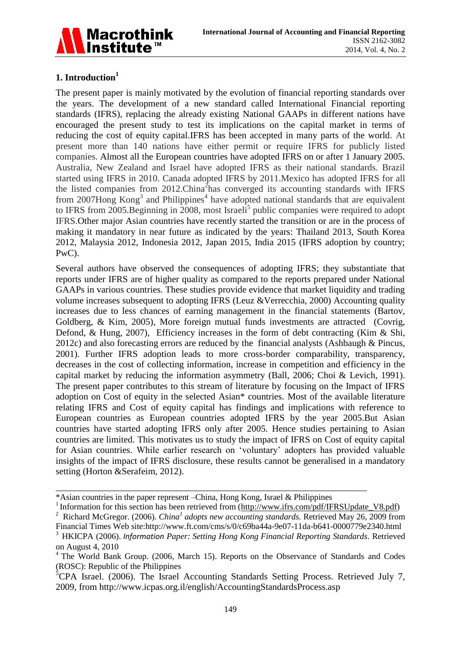

# **1. Introduction<sup>1</sup>**

The present paper is mainly motivated by the evolution of financial reporting standards over the years. The development of a new standard called International Financial reporting standards (IFRS), replacing the already existing National GAAPs in different nations have encouraged the present study to test its implications on the capital market in terms of reducing the cost of equity capital.IFRS has been accepted in many parts of the world. At present more than 140 nations have either permit or require IFRS for publicly listed companies. Almost all the European countries have adopted IFRS on or after 1 January 2005. Australia, New Zealand and Israel have adopted IFRS as their national standards. Brazil started using IFRS in 2010. Canada adopted IFRS by 2011.Mexico has adopted IFRS for all the listed companies from 2012.China<sup>2</sup>has converged its accounting standards with IFRS from 2007Hong Kong<sup>3</sup> and Philippines<sup>4</sup> have adopted national standards that are equivalent to IFRS from 2005. Beginning in 2008, most Israeli<sup>5</sup> public companies were required to adopt IFRS.Other major Asian countries have recently started the transition or are in the process of making it mandatory in near future as indicated by the years: Thailand 2013, South Korea 2012, Malaysia 2012, Indonesia 2012, Japan 2015, India 2015 (IFRS adoption by country; PwC).

Several authors have observed the consequences of adopting IFRS; they substantiate that reports under IFRS are of higher quality as compared to the reports prepared under National GAAPs in various countries. These studies provide evidence that market liquidity and trading volume increases subsequent to adopting IFRS (Leuz &Verrecchia, 2000) Accounting quality increases due to less chances of earning management in the financial statements (Bartov, Goldberg, & Kim, 2005), More foreign mutual funds investments are attracted (Covrig, Defond, & Hung, 2007), Efficiency increases in the form of debt contracting (Kim & Shi, 2012c) and also forecasting errors are reduced by the financial analysts (Ashbaugh & Pincus, 2001). Further IFRS adoption leads to more cross-border comparability, transparency, decreases in the cost of collecting information, increase in competition and efficiency in the capital market by reducing the information asymmetry (Ball, 2006; Choi & Levich, 1991). The present paper contributes to this stream of literature by focusing on the Impact of IFRS adoption on Cost of equity in the selected Asian\* countries. Most of the available literature relating IFRS and Cost of equity capital has findings and implications with reference to European countries as European countries adopted IFRS by the year 2005.But Asian countries have started adopting IFRS only after 2005. Hence studies pertaining to Asian countries are limited. This motivates us to study the impact of IFRS on Cost of equity capital for Asian countries. While earlier research on "voluntary" adopters has provided valuable insights of the impact of IFRS disclosure, these results cannot be generalised in a mandatory setting (Horton &Serafeim, 2012).

\_\_\_\_\_\_\_\_\_\_\_\_\_\_\_\_\_\_\_\_\_\_\_\_\_\_\_\_\_\_\_\_\_\_\_\_\_\_\_\_\_\_\_\_\_\_\_\_\_\_\_\_\_\_\_\_\_\_\_\_\_\_\_\_\_\_\_

<sup>1</sup> Information for this section has been retrieved from (http://www.ifrs.com/pdf/IFRSUpdate\_V8.pdf)

<sup>\*</sup>Asian countries in the paper represent –China, Hong Kong, Israel & Philippines

<sup>&</sup>lt;sup>2</sup> Richard McGregor. (2006). *China<sup>1</sup> adopts new accounting standards*. Retrieved May 26, 2009 from Financial Times Web site:http://www.ft.com/cms/s/0/c69ba44a-9e07-11da-b641-0000779e2340.html

<sup>3</sup>HKICPA (2006). *Information Paper: Setting Hong Kong Financial Reporting Standards*. Retrieved on August 4, 2010

<sup>&</sup>lt;sup>4</sup> The World Bank Group. (2006, March 15). Reports on the Observance of Standards and Codes (ROSC): Republic of the Philippines

 $5$ CPA Israel. (2006). The Israel Accounting Standards Setting Process. Retrieved July 7, 2009, from http://www.icpas.org.il/english/AccountingStandardsProcess.asp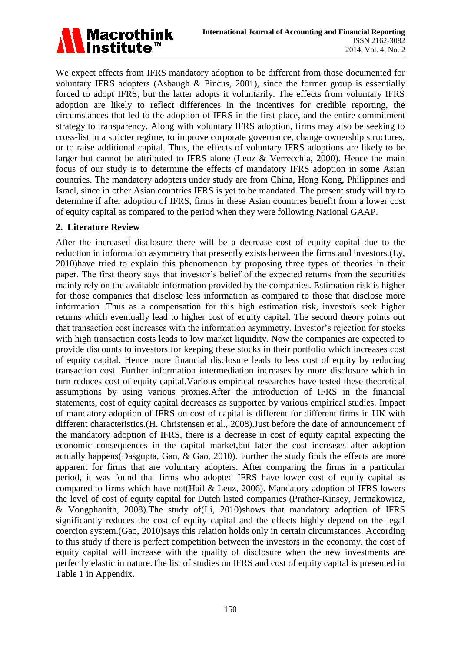

We expect effects from IFRS mandatory adoption to be different from those documented for voluntary IFRS adopters (Asbaugh & Pincus, 2001), since the former group is essentially forced to adopt IFRS, but the latter adopts it voluntarily. The effects from voluntary IFRS adoption are likely to reflect differences in the incentives for credible reporting, the circumstances that led to the adoption of IFRS in the first place, and the entire commitment strategy to transparency. Along with voluntary IFRS adoption, firms may also be seeking to cross-list in a stricter regime, to improve corporate governance, change ownership structures, or to raise additional capital. Thus, the effects of voluntary IFRS adoptions are likely to be larger but cannot be attributed to IFRS alone (Leuz & Verrecchia, 2000). Hence the main focus of our study is to determine the effects of mandatory IFRS adoption in some Asian countries. The mandatory adopters under study are from China, Hong Kong, Philippines and Israel, since in other Asian countries IFRS is yet to be mandated. The present study will try to determine if after adoption of IFRS, firms in these Asian countries benefit from a lower cost of equity capital as compared to the period when they were following National GAAP.

### **2. Literature Review**

After the increased disclosure there will be a decrease cost of equity capital due to the reduction in information asymmetry that presently exists between the firms and investors.(Ly, 2010)have tried to explain this phenomenon by proposing three types of theories in their paper. The first theory says that investor's belief of the expected returns from the securities mainly rely on the available information provided by the companies. Estimation risk is higher for those companies that disclose less information as compared to those that disclose more information .Thus as a compensation for this high estimation risk, investors seek higher returns which eventually lead to higher cost of equity capital. The second theory points out that transaction cost increases with the information asymmetry. Investor"s rejection for stocks with high transaction costs leads to low market liquidity. Now the companies are expected to provide discounts to investors for keeping these stocks in their portfolio which increases cost of equity capital. Hence more financial disclosure leads to less cost of equity by reducing transaction cost. Further information intermediation increases by more disclosure which in turn reduces cost of equity capital.Various empirical researches have tested these theoretical assumptions by using various proxies.After the introduction of IFRS in the financial statements, cost of equity capital decreases as supported by various empirical studies. Impact of mandatory adoption of IFRS on cost of capital is different for different firms in UK with different characteristics.(H. Christensen et al., 2008).Just before the date of announcement of the mandatory adoption of IFRS, there is a decrease in cost of equity capital expecting the economic consequences in the capital market,but later the cost increases after adoption actually happens(Dasgupta, Gan, & Gao, 2010). Further the study finds the effects are more apparent for firms that are voluntary adopters. After comparing the firms in a particular period, it was found that firms who adopted IFRS have lower cost of equity capital as compared to firms which have not(Hail & Leuz, 2006). Mandatory adoption of IFRS lowers the level of cost of equity capital for Dutch listed companies (Prather-Kinsey, Jermakowicz, & Vongphanith, 2008).The study of(Li, 2010)shows that mandatory adoption of IFRS significantly reduces the cost of equity capital and the effects highly depend on the legal coercion system.(Gao, 2010)says this relation holds only in certain circumstances. According to this study if there is perfect competition between the investors in the economy, the cost of equity capital will increase with the quality of disclosure when the new investments are perfectly elastic in nature.The list of studies on IFRS and cost of equity capital is presented in Table 1 in Appendix.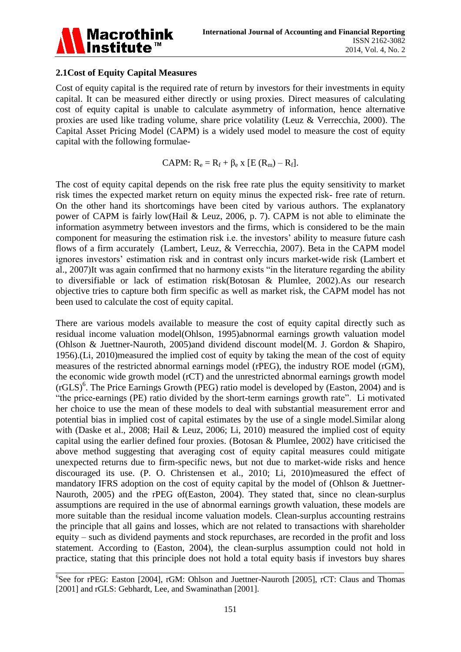

### **2.1Cost of Equity Capital Measures**

Cost of equity capital is the required rate of return by investors for their investments in equity capital. It can be measured either directly or using proxies. Direct measures of calculating cost of equity capital is unable to calculate asymmetry of information, hence alternative proxies are used like trading volume, share price volatility (Leuz & Verrecchia, 2000). The Capital Asset Pricing Model (CAPM) is a widely used model to measure the cost of equity capital with the following formulae-

CAPM:  $R_e = R_f + \beta_e x [E (R_m) - R_f].$ 

The cost of equity capital depends on the risk free rate plus the equity sensitivity to market risk times the expected market return on equity minus the expected risk- free rate of return. On the other hand its shortcomings have been cited by various authors. The explanatory power of CAPM is fairly low(Hail & Leuz, 2006, p. 7). CAPM is not able to eliminate the information asymmetry between investors and the firms, which is considered to be the main component for measuring the estimation risk i.e. the investors" ability to measure future cash flows of a firm accurately (Lambert, Leuz, & Verrecchia, 2007). Beta in the CAPM model ignores investors' estimation risk and in contrast only incurs market-wide risk (Lambert et al., 2007)It was again confirmed that no harmony exists "in the literature regarding the ability to diversifiable or lack of estimation risk(Botosan & Plumlee, 2002).As our research objective tries to capture both firm specific as well as market risk, the CAPM model has not been used to calculate the cost of equity capital.

There are various models available to measure the cost of equity capital directly such as residual income valuation model(Ohlson, 1995)abnormal earnings growth valuation model (Ohlson & Juettner-Nauroth, 2005)and dividend discount model(M. J. Gordon & Shapiro, 1956).(Li, 2010)measured the implied cost of equity by taking the mean of the cost of equity measures of the restricted abnormal earnings model (rPEG), the industry ROE model (rGM), the economic wide growth model (rCT) and the unrestricted abnormal earnings growth model (rGLS)<sup>6</sup>. The Price Earnings Growth (PEG) ratio model is developed by (Easton, 2004) and is "the price-earnings (PE) ratio divided by the short-term earnings growth rate". Li motivated her choice to use the mean of these models to deal with substantial measurement error and potential bias in implied cost of capital estimates by the use of a single model.Similar along with (Daske et al., 2008; Hail & Leuz, 2006; Li, 2010) measured the implied cost of equity capital using the earlier defined four proxies. (Botosan & Plumlee, 2002) have criticised the above method suggesting that averaging cost of equity capital measures could mitigate unexpected returns due to firm-specific news, but not due to market-wide risks and hence discouraged its use. (P. O. Christensen et al., 2010; Li, 2010)measured the effect of mandatory IFRS adoption on the cost of equity capital by the model of (Ohlson & Juettner-Nauroth, 2005) and the rPEG of(Easton, 2004). They stated that, since no clean-surplus assumptions are required in the use of abnormal earnings growth valuation, these models are more suitable than the residual income valuation models. Clean-surplus accounting restrains the principle that all gains and losses, which are not related to transactions with shareholder equity – such as dividend payments and stock repurchases, are recorded in the profit and loss statement. According to (Easton, 2004), the clean-surplus assumption could not hold in practice, stating that this principle does not hold a total equity basis if investors buy shares

\_\_\_\_\_\_\_\_\_\_\_\_\_\_\_\_\_\_\_\_\_\_\_\_\_\_\_\_\_\_\_\_\_\_\_\_\_\_\_\_\_\_\_\_\_\_\_\_\_\_\_\_\_\_\_\_\_\_\_\_\_\_\_\_\_\_\_\_\_\_\_\_\_\_\_ <sup>6</sup>See for rPEG: Easton [2004], rGM: Ohlson and Juettner-Nauroth [2005], rCT: Claus and Thomas [2001] and rGLS: Gebhardt, Lee, and Swaminathan [2001].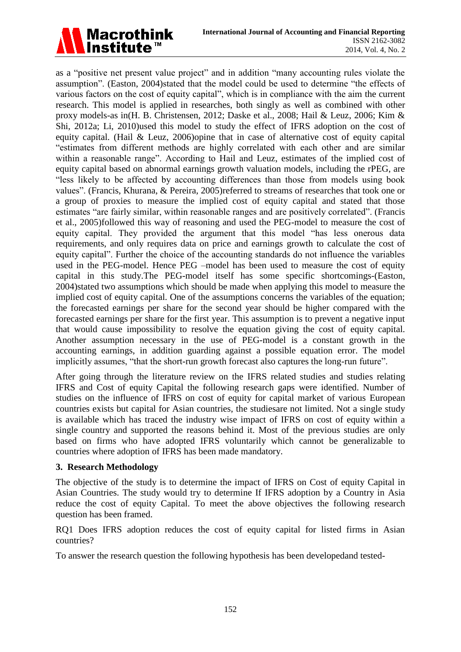

as a "positive net present value project" and in addition "many accounting rules violate the assumption". (Easton, 2004)stated that the model could be used to determine "the effects of various factors on the cost of equity capital", which is in compliance with the aim the current research. This model is applied in researches, both singly as well as combined with other proxy models-as in(H. B. Christensen, 2012; Daske et al., 2008; Hail & Leuz, 2006; Kim & Shi, 2012a; Li, 2010)used this model to study the effect of IFRS adoption on the cost of equity capital. (Hail & Leuz, 2006)opine that in case of alternative cost of equity capital "estimates from different methods are highly correlated with each other and are similar within a reasonable range". According to Hail and Leuz, estimates of the implied cost of equity capital based on abnormal earnings growth valuation models, including the rPEG, are "less likely to be affected by accounting differences than those from models using book values". (Francis, Khurana, & Pereira, 2005)referred to streams of researches that took one or a group of proxies to measure the implied cost of equity capital and stated that those estimates "are fairly similar, within reasonable ranges and are positively correlated". (Francis et al., 2005)followed this way of reasoning and used the PEG-model to measure the cost of equity capital. They provided the argument that this model "has less onerous data requirements, and only requires data on price and earnings growth to calculate the cost of equity capital". Further the choice of the accounting standards do not influence the variables used in the PEG-model. Hence PEG –model has been used to measure the cost of equity capital in this study.The PEG-model itself has some specific shortcomings-(Easton, 2004)stated two assumptions which should be made when applying this model to measure the implied cost of equity capital. One of the assumptions concerns the variables of the equation; the forecasted earnings per share for the second year should be higher compared with the forecasted earnings per share for the first year. This assumption is to prevent a negative input that would cause impossibility to resolve the equation giving the cost of equity capital. Another assumption necessary in the use of PEG-model is a constant growth in the accounting earnings, in addition guarding against a possible equation error. The model implicitly assumes, "that the short-run growth forecast also captures the long-run future".

After going through the literature review on the IFRS related studies and studies relating IFRS and Cost of equity Capital the following research gaps were identified. Number of studies on the influence of IFRS on cost of equity for capital market of various European countries exists but capital for Asian countries, the studiesare not limited. Not a single study is available which has traced the industry wise impact of IFRS on cost of equity within a single country and supported the reasons behind it. Most of the previous studies are only based on firms who have adopted IFRS voluntarily which cannot be generalizable to countries where adoption of IFRS has been made mandatory.

### **3. Research Methodology**

The objective of the study is to determine the impact of IFRS on Cost of equity Capital in Asian Countries. The study would try to determine If IFRS adoption by a Country in Asia reduce the cost of equity Capital. To meet the above objectives the following research question has been framed.

RO1 Does IFRS adoption reduces the cost of equity capital for listed firms in Asian countries?

To answer the research question the following hypothesis has been developedand tested-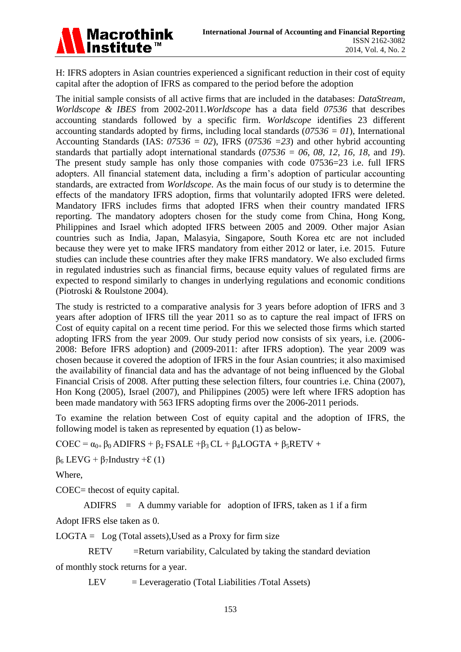

H: IFRS adopters in Asian countries experienced a significant reduction in their cost of equity capital after the adoption of IFRS as compared to the period before the adoption

The initial sample consists of all active firms that are included in the databases: *DataStream, Worldscope & IBES* from 2002-2011.*Worldscope* has a data field *07536* that describes accounting standards followed by a specific firm. *Worldscope* identifies 23 different accounting standards adopted by firms, including local standards (*07536 = 01*), International Accounting Standards (IAS: *07536 = 02*), IFRS (*07536 =23*) and other hybrid accounting standards that partially adopt international standards (*07536 = 06, 08, 12, 16, 18,* and *19*). The present study sample has only those companies with code 07536=23 i.e. full IFRS adopters. All financial statement data, including a firm"s adoption of particular accounting standards, are extracted from *Worldscope*. As the main focus of our study is to determine the effects of the mandatory IFRS adoption, firms that voluntarily adopted IFRS were deleted. Mandatory IFRS includes firms that adopted IFRS when their country mandated IFRS reporting. The mandatory adopters chosen for the study come from China, Hong Kong, Philippines and Israel which adopted IFRS between 2005 and 2009. Other major Asian countries such as India, Japan, Malasyia, Singapore, South Korea etc are not included because they were yet to make IFRS mandatory from either 2012 or later, i.e. 2015. Future studies can include these countries after they make IFRS mandatory. We also excluded firms in regulated industries such as financial firms, because equity values of regulated firms are expected to respond similarly to changes in underlying regulations and economic conditions (Piotroski & Roulstone 2004).

The study is restricted to a comparative analysis for 3 years before adoption of IFRS and 3 years after adoption of IFRS till the year 2011 so as to capture the real impact of IFRS on Cost of equity capital on a recent time period. For this we selected those firms which started adopting IFRS from the year 2009. Our study period now consists of six years, i.e. (2006- 2008: Before IFRS adoption) and (2009-2011: after IFRS adoption). The year 2009 was chosen because it covered the adoption of IFRS in the four Asian countries; it also maximised the availability of financial data and has the advantage of not being influenced by the Global Financial Crisis of 2008. After putting these selection filters, four countries i.e. China (2007), Hon Kong (2005), Israel (2007), and Philippines (2005) were left where IFRS adoption has been made mandatory with 563 IFRS adopting firms over the 2006-2011 periods.

To examine the relation between Cost of equity capital and the adoption of IFRS, the following model is taken as represented by equation (1) as below-

 $COEC = \alpha_{0+} \beta_0 ADIFRS + \beta_2 FSALE + \beta_3 CL + \beta_4 LOGTA + \beta_5 RETV +$ 

 $β<sub>6</sub>$  LEVG +  $β<sub>7</sub>$ Industry +  $ε(1)$ 

Where,

COEC= thecost of equity capital.

ADIFRS  $=$  A dummy variable for adoption of IFRS, taken as 1 if a firm Adopt IFRS else taken as 0.

 $LOGTA = Log (Total assets), Used as a Proxy for firm size$ 

RETV  $=$  Return variability, Calculated by taking the standard deviation of monthly stock returns for a year.

LEV  $=$  Leverageratio (Total Liabilities /Total Assets)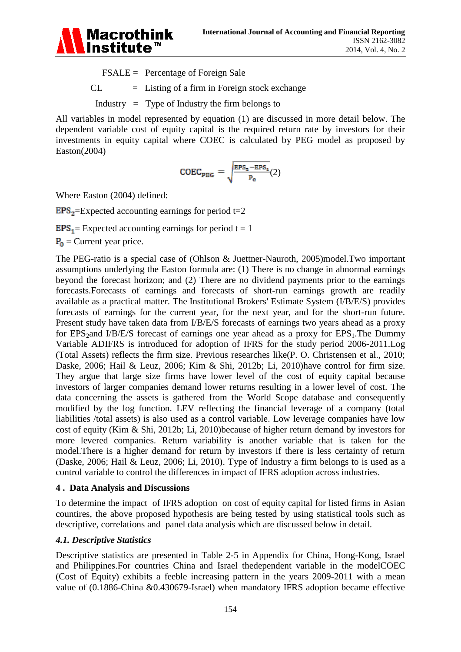

FSALE = Percentage of Foreign Sale

 $CL = Listing of a firm in Foreign stock exchange$ 

Industry  $=$  Type of Industry the firm belongs to

All variables in model represented by equation (1) are discussed in more detail below. The dependent variable cost of equity capital is the required return rate by investors for their investments in equity capital where COEC is calculated by PEG model as proposed by Easton(2004)

$$
\text{COEC}_{\text{PEG}} = \sqrt{\frac{\text{EPS}_2 - \text{EPS}_1}{p_0}}(2)
$$

Where Easton (2004) defined:

 $EPS<sub>2</sub>=$ Expected accounting earnings for period t=2

 $EPS<sub>1</sub>$  = Expected accounting earnings for period t = 1

 $P_0$  = Current year price.

The PEG-ratio is a special case of (Ohlson & Juettner-Nauroth, 2005)model.Two important assumptions underlying the Easton formula are: (1) There is no change in abnormal earnings beyond the forecast horizon; and (2) There are no dividend payments prior to the earnings forecasts.Forecasts of earnings and forecasts of short-run earnings growth are readily available as a practical matter. The Institutional Brokers' Estimate System (I/B/E/S) provides forecasts of earnings for the current year, for the next year, and for the short-run future. Present study have taken data from I/B/E/S forecasts of earnings two years ahead as a proxy for  $EPS_2$  and I/B/E/S forecast of earnings one year ahead as a proxy for  $EPS_1$ . The Dummy Variable ADIFRS is introduced for adoption of IFRS for the study period 2006-2011.Log (Total Assets) reflects the firm size. Previous researches like(P. O. Christensen et al., 2010; Daske, 2006; Hail & Leuz, 2006; Kim & Shi, 2012b; Li, 2010)have control for firm size. They argue that large size firms have lower level of the cost of equity capital because investors of larger companies demand lower returns resulting in a lower level of cost. The data concerning the assets is gathered from the World Scope database and consequently modified by the log function. LEV reflecting the financial leverage of a company (total liabilities /total assets) is also used as a control variable. Low leverage companies have low cost of equity (Kim & Shi, 2012b; Li, 2010)because of higher return demand by investors for more levered companies. Return variability is another variable that is taken for the model.There is a higher demand for return by investors if there is less certainty of return (Daske, 2006; Hail & Leuz, 2006; Li, 2010). Type of Industry a firm belongs to is used as a control variable to control the differences in impact of IFRS adoption across industries.

### **4 . Data Analysis and Discussions**

To determine the impact of IFRS adoption on cost of equity capital for listed firms in Asian countires, the above proposed hypothesis are being tested by using statistical tools such as descriptive, correlations and panel data analysis which are discussed below in detail.

### *4.1. Descriptive Statistics*

Descriptive statistics are presented in Table 2-5 in Appendix for China, Hong-Kong, Israel and Philippines.For countries China and Israel thedependent variable in the modelCOEC (Cost of Equity) exhibits a feeble increasing pattern in the years 2009-2011 with a mean value of (0.1886-China &0.430679-Israel) when mandatory IFRS adoption became effective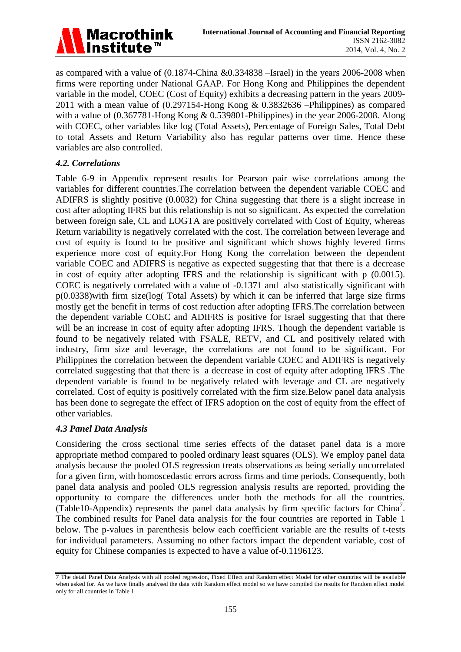

as compared with a value of (0.1874-China &0.334838 –Israel) in the years 2006-2008 when firms were reporting under National GAAP. For Hong Kong and Philippines the dependent variable in the model, COEC (Cost of Equity) exhibits a decreasing pattern in the years 2009- 2011 with a mean value of (0.297154-Hong Kong & 0.3832636 –Philippines) as compared with a value of (0.367781-Hong Kong & 0.539801-Philippines) in the year 2006-2008. Along with COEC, other variables like log (Total Assets), Percentage of Foreign Sales, Total Debt to total Assets and Return Variability also has regular patterns over time. Hence these variables are also controlled.

### *4.2. Correlations*

Table 6-9 in Appendix represent results for Pearson pair wise correlations among the variables for different countries.The correlation between the dependent variable COEC and ADIFRS is slightly positive (0.0032) for China suggesting that there is a slight increase in cost after adopting IFRS but this relationship is not so significant. As expected the correlation between foreign sale, CL and LOGTA are positively correlated with Cost of Equity, whereas Return variability is negatively correlated with the cost. The correlation between leverage and cost of equity is found to be positive and significant which shows highly levered firms experience more cost of equity.For Hong Kong the correlation between the dependent variable COEC and ADIFRS is negative as expected suggesting that that there is a decrease in cost of equity after adopting IFRS and the relationship is significant with p (0.0015). COEC is negatively correlated with a value of -0.1371 and also statistically significant with p(0.0338)with firm size(log( Total Assets) by which it can be inferred that large size firms mostly get the benefit in terms of cost reduction after adopting IFRS.The correlation between the dependent variable COEC and ADIFRS is positive for Israel suggesting that that there will be an increase in cost of equity after adopting IFRS. Though the dependent variable is found to be negatively related with FSALE, RETV, and CL and positively related with industry, firm size and leverage, the correlations are not found to be significant. For Philippines the correlation between the dependent variable COEC and ADIFRS is negatively correlated suggesting that that there is a decrease in cost of equity after adopting IFRS .The dependent variable is found to be negatively related with leverage and CL are negatively correlated. Cost of equity is positively correlated with the firm size.Below panel data analysis has been done to segregate the effect of IFRS adoption on the cost of equity from the effect of other variables.

### *4.3 Panel Data Analysis*

Considering the cross sectional time series effects of the dataset panel data is a more appropriate method compared to pooled ordinary least squares (OLS). We employ panel data analysis because the pooled OLS regression treats observations as being serially uncorrelated for a given firm, with homoscedastic errors across firms and time periods. Consequently, both panel data analysis and pooled OLS regression analysis results are reported, providing the opportunity to compare the differences under both the methods for all the countries. (Table10-Appendix) represents the panel data analysis by firm specific factors for China<sup>7</sup> . The combined results for Panel data analysis for the four countries are reported in Table 1 below. The p-values in parenthesis below each coefficient variable are the results of t-tests for individual parameters. Assuming no other factors impact the dependent variable, cost of equity for Chinese companies is expected to have a value of-0.1196123.

<sup>7</sup> The detail Panel Data Analysis with all pooled regression, Fixed Effect and Random effect Model for other countries will be available when asked for. As we have finally analysed the data with Random effect model so we have compiled the results for Random effect model only for all countries in Table 1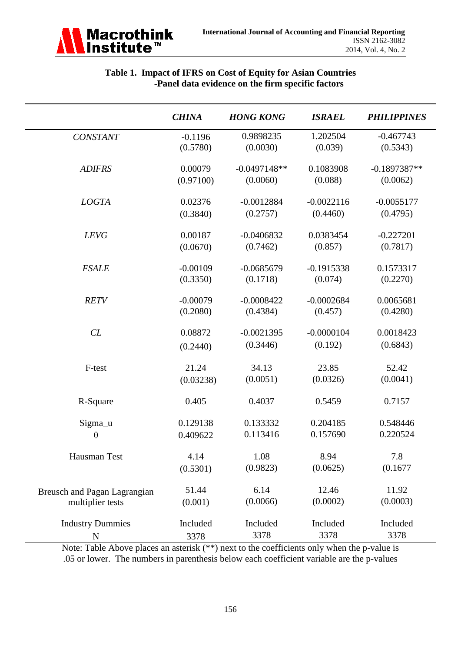

# **Table 1. Impact of IFRS on Cost of Equity for Asian Countries -Panel data evidence on the firm specific factors**

|                              | <b>CHINA</b> | <b>HONG KONG</b> | <b>ISRAEL</b> | <b>PHILIPPINES</b> |
|------------------------------|--------------|------------------|---------------|--------------------|
| <b>CONSTANT</b>              | $-0.1196$    | 0.9898235        | 1.202504      | $-0.467743$        |
|                              | (0.5780)     | (0.0030)         | (0.039)       | (0.5343)           |
| <b>ADIFRS</b>                | 0.00079      | $-0.0497148**$   | 0.1083908     | $-0.1897387**$     |
|                              | (0.97100)    | (0.0060)         | (0.088)       | (0.0062)           |
| <b>LOGTA</b>                 | 0.02376      | $-0.0012884$     | $-0.0022116$  | $-0.0055177$       |
|                              | (0.3840)     | (0.2757)         | (0.4460)      | (0.4795)           |
| <b>LEVG</b>                  | 0.00187      | $-0.0406832$     | 0.0383454     | $-0.227201$        |
|                              | (0.0670)     | (0.7462)         | (0.857)       | (0.7817)           |
| <b>FSALE</b>                 | $-0.00109$   | $-0.0685679$     | $-0.1915338$  | 0.1573317          |
|                              | (0.3350)     | (0.1718)         | (0.074)       | (0.2270)           |
| <b>RETV</b>                  | $-0.00079$   | $-0.0008422$     | $-0.0002684$  | 0.0065681          |
|                              | (0.2080)     | (0.4384)         | (0.457)       | (0.4280)           |
| CL                           | 0.08872      | $-0.0021395$     | $-0.0000104$  | 0.0018423          |
|                              | (0.2440)     | (0.3446)         | (0.192)       | (0.6843)           |
| F-test                       | 21.24        | 34.13            | 23.85         | 52.42              |
|                              | (0.03238)    | (0.0051)         | (0.0326)      | (0.0041)           |
| R-Square                     | 0.405        | 0.4037           | 0.5459        | 0.7157             |
| Sigma_u                      | 0.129138     | 0.133332         | 0.204185      | 0.548446           |
| $\theta$                     | 0.409622     | 0.113416         | 0.157690      | 0.220524           |
| Hausman Test                 | 4.14         | 1.08             | 8.94          | 7.8                |
|                              | (0.5301)     | (0.9823)         | (0.0625)      | (0.1677)           |
| Breusch and Pagan Lagrangian | 51.44        | 6.14             | 12.46         | 11.92              |
| multiplier tests             | (0.001)      | (0.0066)         | (0.0002)      | (0.0003)           |
| <b>Industry Dummies</b>      | Included     | Included         | Included      | Included           |
| $\mathbf N$                  | 3378         | 3378             | 3378          | 3378               |

Note: Table Above places an asterisk (\*\*) next to the coefficients only when the p-value is .05 or lower. The numbers in parenthesis below each coefficient variable are the p-values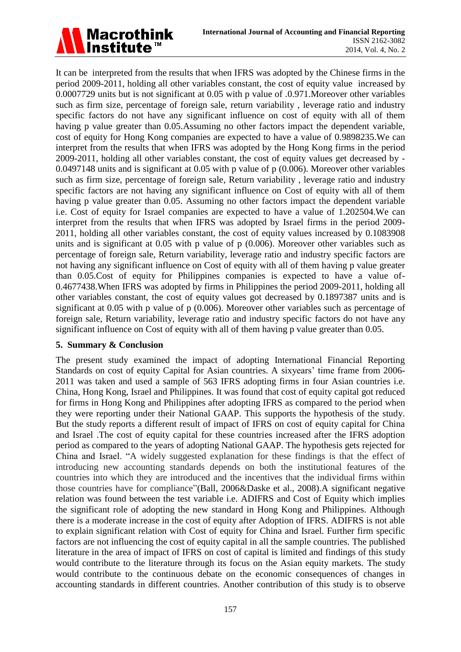

It can be interpreted from the results that when IFRS was adopted by the Chinese firms in the period 2009-2011, holding all other variables constant, the cost of equity value increased by 0.0007729 units but is not significant at 0.05 with p value of .0.971.Moreover other variables such as firm size, percentage of foreign sale, return variability , leverage ratio and industry specific factors do not have any significant influence on cost of equity with all of them having p value greater than 0.05.Assuming no other factors impact the dependent variable, cost of equity for Hong Kong companies are expected to have a value of 0.9898235.We can interpret from the results that when IFRS was adopted by the Hong Kong firms in the period 2009-2011, holding all other variables constant, the cost of equity values get decreased by - 0.0497148 units and is significant at 0.05 with p value of p (0.006). Moreover other variables such as firm size, percentage of foreign sale, Return variability , leverage ratio and industry specific factors are not having any significant influence on Cost of equity with all of them having p value greater than 0.05. Assuming no other factors impact the dependent variable i.e. Cost of equity for Israel companies are expected to have a value of 1.202504.We can interpret from the results that when IFRS was adopted by Israel firms in the period 2009- 2011, holding all other variables constant, the cost of equity values increased by 0.1083908 units and is significant at 0.05 with p value of p (0.006). Moreover other variables such as percentage of foreign sale, Return variability, leverage ratio and industry specific factors are not having any significant influence on Cost of equity with all of them having p value greater than 0.05.Cost of equity for Philippines companies is expected to have a value of-0.4677438.When IFRS was adopted by firms in Philippines the period 2009-2011, holding all other variables constant, the cost of equity values got decreased by 0.1897387 units and is significant at 0.05 with p value of p (0.006). Moreover other variables such as percentage of foreign sale, Return variability, leverage ratio and industry specific factors do not have any significant influence on Cost of equity with all of them having p value greater than 0.05.

### **5. Summary & Conclusion**

The present study examined the impact of adopting International Financial Reporting Standards on cost of equity Capital for Asian countries. A sixyears' time frame from 2006-2011 was taken and used a sample of 563 IFRS adopting firms in four Asian countries i.e. China, Hong Kong, Israel and Philippines. It was found that cost of equity capital got reduced for firms in Hong Kong and Philippines after adopting IFRS as compared to the period when they were reporting under their National GAAP. This supports the hypothesis of the study. But the study reports a different result of impact of IFRS on cost of equity capital for China and Israel .The cost of equity capital for these countries increased after the IFRS adoption period as compared to the years of adopting National GAAP. The hypothesis gets rejected for China and Israel. "A widely suggested explanation for these findings is that the effect of introducing new accounting standards depends on both the institutional features of the countries into which they are introduced and the incentives that the individual firms within those countries have for compliance"(Ball, 2006&Daske et al., 2008).A significant negative relation was found between the test variable i.e. ADIFRS and Cost of Equity which implies the significant role of adopting the new standard in Hong Kong and Philippines. Although there is a moderate increase in the cost of equity after Adoption of IFRS. ADIFRS is not able to explain significant relation with Cost of equity for China and Israel. Further firm specific factors are not influencing the cost of equity capital in all the sample countries. The published literature in the area of impact of IFRS on cost of capital is limited and findings of this study would contribute to the literature through its focus on the Asian equity markets. The study would contribute to the continuous debate on the economic consequences of changes in accounting standards in different countries. Another contribution of this study is to observe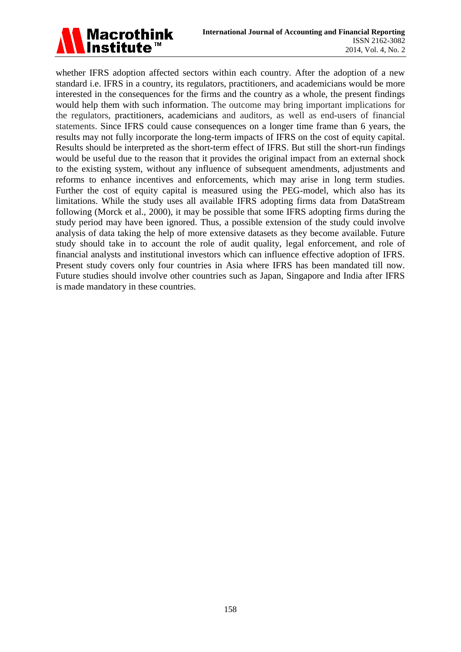

whether IFRS adoption affected sectors within each country. After the adoption of a new standard i.e. IFRS in a country, its regulators, practitioners, and academicians would be more interested in the consequences for the firms and the country as a whole, the present findings would help them with such information. The outcome may bring important implications for the regulators, practitioners, academicians and auditors, as well as end-users of financial statements. Since IFRS could cause consequences on a longer time frame than 6 years, the results may not fully incorporate the long-term impacts of IFRS on the cost of equity capital. Results should be interpreted as the short-term effect of IFRS. But still the short-run findings would be useful due to the reason that it provides the original impact from an external shock to the existing system, without any influence of subsequent amendments, adjustments and reforms to enhance incentives and enforcements, which may arise in long term studies. Further the cost of equity capital is measured using the PEG-model, which also has its limitations. While the study uses all available IFRS adopting firms data from DataStream following (Morck et al., 2000), it may be possible that some IFRS adopting firms during the study period may have been ignored. Thus, a possible extension of the study could involve analysis of data taking the help of more extensive datasets as they become available. Future study should take in to account the role of audit quality, legal enforcement, and role of financial analysts and institutional investors which can influence effective adoption of IFRS. Present study covers only four countries in Asia where IFRS has been mandated till now. Future studies should involve other countries such as Japan, Singapore and India after IFRS is made mandatory in these countries.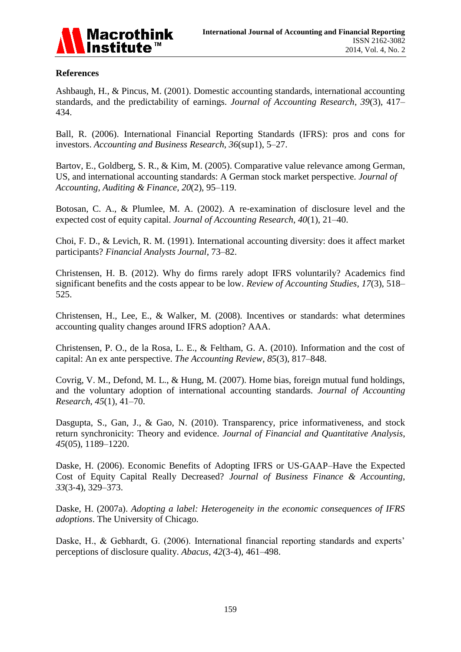

### **References**

Ashbaugh, H., & Pincus, M. (2001). Domestic accounting standards, international accounting standards, and the predictability of earnings. *Journal of Accounting Research*, *39*(3), 417– 434.

Ball, R. (2006). International Financial Reporting Standards (IFRS): pros and cons for investors. *Accounting and Business Research*, *36*(sup1), 5–27.

Bartov, E., Goldberg, S. R., & Kim, M. (2005). Comparative value relevance among German, US, and international accounting standards: A German stock market perspective. *Journal of Accounting, Auditing & Finance*, *20*(2), 95–119.

Botosan, C. A., & Plumlee, M. A. (2002). A re-examination of disclosure level and the expected cost of equity capital. *Journal of Accounting Research*, *40*(1), 21–40.

Choi, F. D., & Levich, R. M. (1991). International accounting diversity: does it affect market participants? *Financial Analysts Journal*, 73–82.

Christensen, H. B. (2012). Why do firms rarely adopt IFRS voluntarily? Academics find significant benefits and the costs appear to be low. *Review of Accounting Studies*, *17*(3), 518– 525.

Christensen, H., Lee, E., & Walker, M. (2008). Incentives or standards: what determines accounting quality changes around IFRS adoption? AAA.

Christensen, P. O., de la Rosa, L. E., & Feltham, G. A. (2010). Information and the cost of capital: An ex ante perspective. *The Accounting Review*, *85*(3), 817–848.

Covrig, V. M., Defond, M. L., & Hung, M. (2007). Home bias, foreign mutual fund holdings, and the voluntary adoption of international accounting standards. *Journal of Accounting Research*, *45*(1), 41–70.

Dasgupta, S., Gan, J., & Gao, N. (2010). Transparency, price informativeness, and stock return synchronicity: Theory and evidence. *Journal of Financial and Quantitative Analysis*, *45*(05), 1189–1220.

Daske, H. (2006). Economic Benefits of Adopting IFRS or US‐GAAP–Have the Expected Cost of Equity Capital Really Decreased? *Journal of Business Finance & Accounting*, *33*(3‐4), 329–373.

Daske, H. (2007a). *Adopting a label: Heterogeneity in the economic consequences of IFRS adoptions*. The University of Chicago.

Daske, H., & Gebhardt, G. (2006). International financial reporting standards and experts' perceptions of disclosure quality. *Abacus*, *42*(3‐4), 461–498.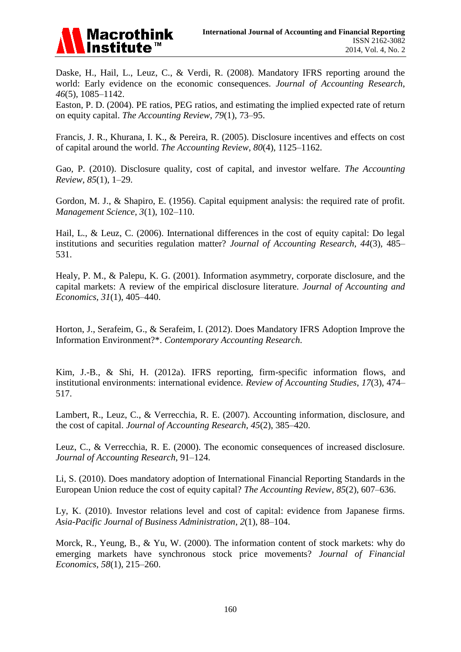

Daske, H., Hail, L., Leuz, C., & Verdi, R. (2008). Mandatory IFRS reporting around the world: Early evidence on the economic consequences. *Journal of Accounting Research*, *46*(5), 1085–1142.

Easton, P. D. (2004). PE ratios, PEG ratios, and estimating the implied expected rate of return on equity capital. *The Accounting Review*, *79*(1), 73–95.

Francis, J. R., Khurana, I. K., & Pereira, R. (2005). Disclosure incentives and effects on cost of capital around the world. *The Accounting Review*, *80*(4), 1125–1162.

Gao, P. (2010). Disclosure quality, cost of capital, and investor welfare. *The Accounting Review*, *85*(1), 1–29.

Gordon, M. J., & Shapiro, E. (1956). Capital equipment analysis: the required rate of profit. *Management Science*, *3*(1), 102–110.

Hail, L., & Leuz, C. (2006). International differences in the cost of equity capital: Do legal institutions and securities regulation matter? *Journal of Accounting Research*, *44*(3), 485– 531.

Healy, P. M., & Palepu, K. G. (2001). Information asymmetry, corporate disclosure, and the capital markets: A review of the empirical disclosure literature. *Journal of Accounting and Economics*, *31*(1), 405–440.

Horton, J., Serafeim, G., & Serafeim, I. (2012). Does Mandatory IFRS Adoption Improve the Information Environment?\*. *Contemporary Accounting Research*.

Kim, J.-B., & Shi, H. (2012a). IFRS reporting, firm-specific information flows, and institutional environments: international evidence. *Review of Accounting Studies*, *17*(3), 474– 517.

Lambert, R., Leuz, C., & Verrecchia, R. E. (2007). Accounting information, disclosure, and the cost of capital. *Journal of Accounting Research*, *45*(2), 385–420.

Leuz, C., & Verrecchia, R. E. (2000). The economic consequences of increased disclosure. *Journal of Accounting Research*, 91–124.

Li, S. (2010). Does mandatory adoption of International Financial Reporting Standards in the European Union reduce the cost of equity capital? *The Accounting Review*, *85*(2), 607–636.

Ly, K. (2010). Investor relations level and cost of capital: evidence from Japanese firms. *Asia-Pacific Journal of Business Administration*, *2*(1), 88–104.

Morck, R., Yeung, B., & Yu, W. (2000). The information content of stock markets: why do emerging markets have synchronous stock price movements? *Journal of Financial Economics*, *58*(1), 215–260.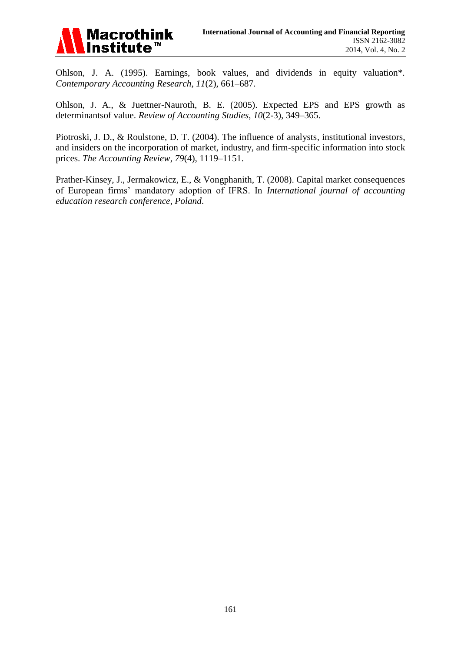

Ohlson, J. A. (1995). Earnings, book values, and dividends in equity valuation\*. *Contemporary Accounting Research*, *11*(2), 661–687.

Ohlson, J. A., & Juettner-Nauroth, B. E. (2005). Expected EPS and EPS growth as determinantsof value. *Review of Accounting Studies*, *10*(2-3), 349–365.

Piotroski, J. D., & Roulstone, D. T. (2004). The influence of analysts, institutional investors, and insiders on the incorporation of market, industry, and firm-specific information into stock prices. *The Accounting Review*, *79*(4), 1119–1151.

Prather-Kinsey, J., Jermakowicz, E., & Vongphanith, T. (2008). Capital market consequences of European firms" mandatory adoption of IFRS. In *International journal of accounting education research conference, Poland*.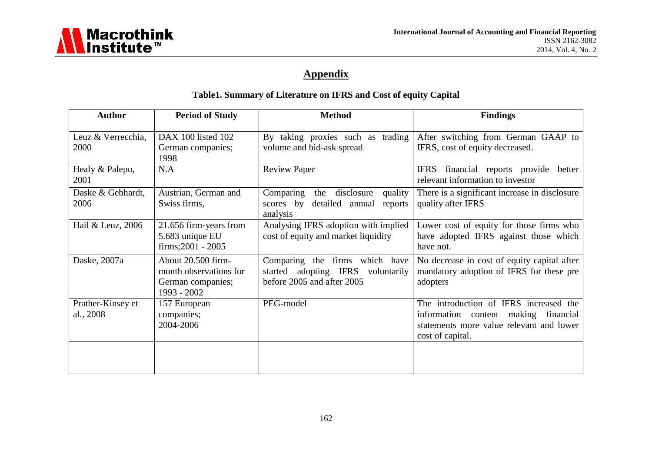

# **Appendix**

| <b>Author</b>              | <b>Period of Study</b>                          | <b>Method</b>                   | <b>Findings</b>                                                                                       |
|----------------------------|-------------------------------------------------|---------------------------------|-------------------------------------------------------------------------------------------------------|
| Leuz & Verrecchia,<br>2000 | DAX 100 listed 102<br>German companies;<br>1998 | Bv<br>volume and bid-ask spread | taking proxies such as trading After switching from German GAAP to<br>IFRS, cost of equity decreased. |
| Healy & Palepu,<br>0.001   | N.A                                             | <b>Review Paper</b>             | financial reports provide better<br><b>IFRS</b>                                                       |

# **Table1. Summary of Literature on IFRS and Cost of equity Capital**

|                                | 1998                                                                             |                                                                                                            |                                                                                                                                                |
|--------------------------------|----------------------------------------------------------------------------------|------------------------------------------------------------------------------------------------------------|------------------------------------------------------------------------------------------------------------------------------------------------|
| Healy & Palepu,<br>2001        | N.A                                                                              | <b>Review Paper</b>                                                                                        | financial reports provide better<br><b>IFRS</b><br>relevant information to investor                                                            |
| Daske & Gebhardt,<br>2006      | Austrian, German and<br>Swiss firms,                                             | disclosure<br>Comparing<br>quality<br>the<br>detailed annual<br>scores by<br>reports<br>analysis           | There is a significant increase in disclosure<br>quality after IFRS                                                                            |
| Hail & Leuz, $2006$            | 21.656 firm-years from<br>5.683 unique EU<br>firms; 2001 - 2005                  | Analysing IFRS adoption with implied<br>cost of equity and market liquidity                                | Lower cost of equity for those firms who<br>have adopted IFRS against those which<br>have not.                                                 |
| Daske, 2007a                   | About 20.500 firm-<br>month observations for<br>German companies;<br>1993 - 2002 | Comparing the<br>firms which have<br>adopting IFRS<br>started<br>voluntarily<br>before 2005 and after 2005 | No decrease in cost of equity capital after<br>mandatory adoption of IFRS for these pre<br>adopters                                            |
| Prather-Kinsey et<br>al., 2008 | 157 European<br>companies;<br>2004-2006                                          | PEG-model                                                                                                  | The introduction of IFRS increased the<br>information content making financial<br>statements more value relevant and lower<br>cost of capital. |
|                                |                                                                                  |                                                                                                            |                                                                                                                                                |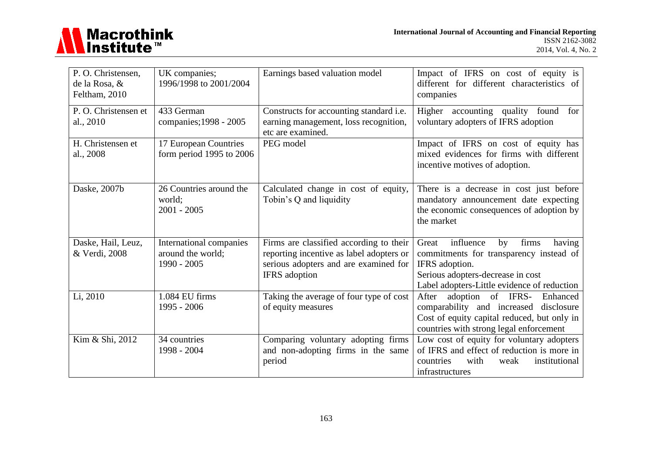

| P.O. Christensen,<br>de la Rosa, &<br>Feltham, 2010 | UK companies;<br>1996/1998 to 2001/2004                     | Earnings based valuation model                                                                                                                | Impact of IFRS on cost of equity is<br>different for different characteristics of<br>companies                                                                                               |
|-----------------------------------------------------|-------------------------------------------------------------|-----------------------------------------------------------------------------------------------------------------------------------------------|----------------------------------------------------------------------------------------------------------------------------------------------------------------------------------------------|
| P.O. Christensen et<br>al., 2010                    | 433 German<br>companies; 1998 - 2005                        | Constructs for accounting standard i.e.<br>earning management, loss recognition,<br>etc are examined.                                         | Higher accounting quality found<br>for<br>voluntary adopters of IFRS adoption                                                                                                                |
| H. Christensen et<br>al., 2008                      | 17 European Countries<br>form period $1995$ to $2006$       | PEG model                                                                                                                                     | Impact of IFRS on cost of equity has<br>mixed evidences for firms with different<br>incentive motives of adoption.                                                                           |
| Daske, 2007b                                        | 26 Countries around the<br>world;<br>$2001 - 2005$          | Calculated change in cost of equity,<br>Tobin's Q and liquidity                                                                               | There is a decrease in cost just before<br>mandatory announcement date expecting<br>the economic consequences of adoption by<br>the market                                                   |
| Daske, Hail, Leuz,<br>& Verdi, 2008                 | International companies<br>around the world;<br>1990 - 2005 | Firms are classified according to their<br>reporting incentive as label adopters or<br>serious adopters and are examined for<br>IFRS adoption | influence<br>firms<br>Great<br>by<br>having<br>commitments for transparency instead of<br>IFRS adoption.<br>Serious adopters-decrease in cost<br>Label adopters-Little evidence of reduction |
| Li, 2010                                            | 1.084 EU firms<br>1995 - 2006                               | Taking the average of four type of cost<br>of equity measures                                                                                 | adoption of IFRS-<br>After<br>Enhanced<br>comparability and increased<br>disclosure<br>Cost of equity capital reduced, but only in<br>countries with strong legal enforcement                |
| Kim & Shi, 2012                                     | 34 countries<br>1998 - 2004                                 | Comparing voluntary adopting firms<br>and non-adopting firms in the same<br>period                                                            | Low cost of equity for voluntary adopters<br>of IFRS and effect of reduction is more in<br>with<br>weak<br>institutional<br>countries<br>infrastructures                                     |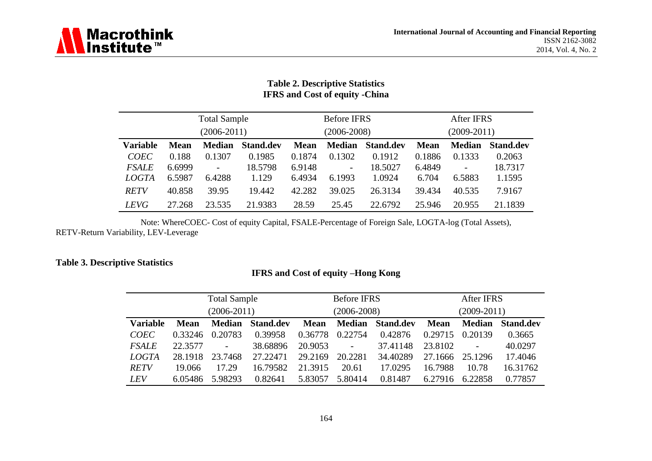|                 | <b>Total Sample</b> |               |                  | <b>Before IFRS</b> |                          |                  | After IFRS  |                          |                  |  |
|-----------------|---------------------|---------------|------------------|--------------------|--------------------------|------------------|-------------|--------------------------|------------------|--|
|                 | $(2006 - 2011)$     |               |                  |                    | $(2006 - 2008)$          |                  |             | $(2009 - 2011)$          |                  |  |
| <b>Variable</b> | <b>Mean</b>         | <b>Median</b> | <b>Stand.dev</b> | <b>Mean</b>        | <b>Median</b>            | <b>Stand.dev</b> | <b>Mean</b> | <b>Median</b>            | <b>Stand.dev</b> |  |
| <b>COEC</b>     | 0.188               | 0.1307        | 0.1985           | 0.1874             | 0.1302                   | 0.1912           | 0.1886      | 0.1333                   | 0.2063           |  |
| <b>FSALE</b>    | 6.6999              | -             | 18.5798          | 6.9148             | $\overline{\phantom{0}}$ | 18.5027          | 6.4849      | $\overline{\phantom{0}}$ | 18.7317          |  |
| <b>LOGTA</b>    | 6.5987              | 6.4288        | 1.129            | 6.4934             | 6.1993                   | 1.0924           | 6.704       | 6.5883                   | 1.1595           |  |
| <b>RETV</b>     | 40.858              | 39.95         | 19.442           | 42.282             | 39.025                   | 26.3134          | 39.434      | 40.535                   | 7.9167           |  |
| <b>LEVG</b>     | 27.268              | 23.535        | 21.9383          | 28.59              | 25.45                    | 22.6792          | 25.946      | 20.955                   | 21.1839          |  |

### **Table 2. Descriptive Statistics IFRS and Cost of equity -China**

Note: WhereCOEC- Cost of equity Capital, FSALE-Percentage of Foreign Sale, LOGTA-log (Total Assets),

RETV-Return Variability, LEV-Leverage

### **Table 3. Descriptive Statistics**

### **IFRS and Cost of equity –Hong Kong**

|                 | <b>Total Sample</b><br>$(2006 - 2011)$ |                          |                  | <b>Before IFRS</b><br>$(2006 - 2008)$ |                          |                  | <b>After IFRS</b><br>$(2009 - 2011)$ |                          |                  |
|-----------------|----------------------------------------|--------------------------|------------------|---------------------------------------|--------------------------|------------------|--------------------------------------|--------------------------|------------------|
| <b>Variable</b> | <b>Mean</b>                            | <b>Median</b>            | <b>Stand.dev</b> | <b>Mean</b>                           | <b>Median</b>            | <b>Stand.dev</b> | <b>Mean</b>                          | <b>Median</b>            | <b>Stand.dev</b> |
| <b>COEC</b>     | 0.33246                                | 0.20783                  | 0.39958          | 0.36778                               | 0.22754                  | 0.42876          | 0.29715                              | 0.20139                  | 0.3665           |
| <b>FSALE</b>    | 22,3577                                | $\overline{\phantom{a}}$ | 38.68896         | 20.9053                               | $\overline{\phantom{a}}$ | 37.41148         | 23.8102                              | $\overline{\phantom{a}}$ | 40.0297          |
| <b>LOGTA</b>    | 28.1918                                | 23.7468                  | 27.22471         | 29.2169                               | 20.2281                  | 34.40289         | 27.1666                              | 25.1296                  | 17.4046          |
| <b>RETV</b>     | 19.066                                 | 17.29                    | 16.79582         | 21.3915                               | 20.61                    | 17.0295          | 16.7988                              | 10.78                    | 16.31762         |
| <b>LEV</b>      | 6.05486                                | 5.98293                  | 0.82641          | 5.83057                               | 5.80414                  | 0.81487          | 6.27916                              | 6.22858                  | 0.77857          |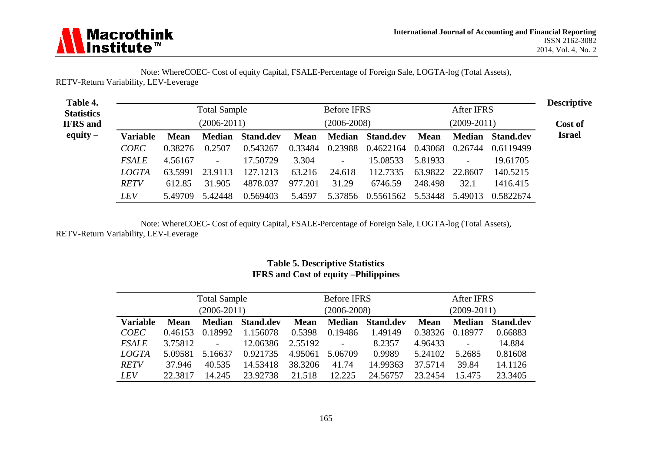

Note: WhereCOEC- Cost of equity Capital, FSALE-Percentage of Foreign Sale, LOGTA-log (Total Assets), RETV-Return Variability, LEV-Leverage

| Table 4.<br><b>Statistics</b> | <b>Total Sample</b> |             |                          |                  | <b>Before IFRS</b> |                 |                  | After IFRS  |                          |                  |               |
|-------------------------------|---------------------|-------------|--------------------------|------------------|--------------------|-----------------|------------------|-------------|--------------------------|------------------|---------------|
| <b>IFRS</b> and               |                     |             | $(2006 - 2011)$          |                  |                    | $(2006 - 2008)$ |                  |             | $(2009 - 2011)$          |                  | Cost of       |
|                               | Variable            | <b>Mean</b> | <b>Median</b>            | <b>Stand.dev</b> | <b>Mean</b>        | <b>Median</b>   | <b>Stand.dev</b> | <b>Mean</b> | <b>Median</b>            | <b>Stand.dev</b> | <b>Israel</b> |
|                               | <b>COEC</b>         | 0.38276     | 0.2507                   | 0.543267         | 0.33484            | 0.23988         | 0.4622164        | 0.43068     | 0.26744                  | 0.6119499        |               |
|                               | <b>FSALE</b>        | 4.56167     | $\overline{\phantom{0}}$ | 17.50729         | 3.304              | $-$             | 15.08533         | 5.81933     | $\overline{\phantom{a}}$ | 19.61705         |               |
|                               | <b>LOGTA</b>        | 63.5991     | 23.9113                  | 127.1213         | 63.216             | 24.618          | 112.7335         | 63.9822     | 22.8607                  | 140.5215         |               |
|                               | <b>RETV</b>         | 612.85      | 31.905                   | 4878.037         | 977.201            | 31.29           | 6746.59          | 248.498     | 32.1                     | 1416.415         |               |
|                               | <b>LEV</b>          | 5.49709     | 5.42448                  | 0.569403         | 5.4597             | 5.37856         | 0.5561562        | 5.53448     | 5.49013                  | 0.5822674        |               |

Note: WhereCOEC- Cost of equity Capital, FSALE-Percentage of Foreign Sale, LOGTA-log (Total Assets),

RETV-Return Variability, LEV-Leverage

|                 |             | <b>Total Sample</b> |                  | <b>Before IFRS</b> |                   |                  | After IFRS      |                          |                  |  |
|-----------------|-------------|---------------------|------------------|--------------------|-------------------|------------------|-----------------|--------------------------|------------------|--|
|                 |             | $(2006 - 2011)$     |                  | $(2006 - 2008)$    |                   |                  | $(2009 - 2011)$ |                          |                  |  |
| <b>Variable</b> | <b>Mean</b> | <b>Median</b>       | <b>Stand.dev</b> | <b>Mean</b>        | <b>Median</b>     | <b>Stand.dev</b> | <b>Mean</b>     | <b>Median</b>            | <b>Stand.dev</b> |  |
| <b>COEC</b>     | 0.46153     | 0.18992             | 1.156078         | 0.5398             | 0.19486           | 1.49149          | 0.38326         | 0.18977                  | 0.66883          |  |
| <b>FSALE</b>    | 3.75812     | $\qquad \qquad -$   | 12.06386         | 2.55192            | $\qquad \qquad -$ | 8.2357           | 4.96433         | $\overline{\phantom{a}}$ | 14.884           |  |
| <b>LOGTA</b>    | 5.09581     | 5.16637             | 0.921735         | 4.95061            | 5.06709           | 0.9989           | 5.24102         | 5.2685                   | 0.81608          |  |
| <b>RETV</b>     | 37.946      | 40.535              | 14.53418         | 38.3206            | 41.74             | 14.99363         | 37.5714         | 39.84                    | 14.1126          |  |
| LEV             | 22.3817     | 14.245              | 23.92738         | 21.518             | 12.225            | 24.56757         | 23.2454         | 15.475                   | 23.3405          |  |

## **Table 5. Descriptive Statistics IFRS and Cost of equity –Philippines**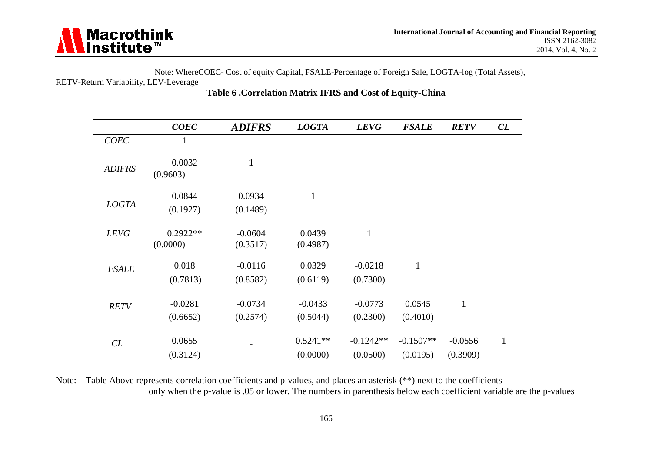

Note: WhereCOEC- Cost of equity Capital, FSALE-Percentage of Foreign Sale, LOGTA-log (Total Assets),

RETV-Return Variability, LEV-Leverage

|               | <b>COEC</b>            | <b>ADIFRS</b>         | <b>LOGTA</b>          | <b>LEVG</b>           | <b>FSALE</b>       | <b>RETV</b>  | CL           |
|---------------|------------------------|-----------------------|-----------------------|-----------------------|--------------------|--------------|--------------|
| <b>COEC</b>   | 1                      |                       |                       |                       |                    |              |              |
| <b>ADIFRS</b> | 0.0032<br>(0.9603)     | $\mathbf{1}$          |                       |                       |                    |              |              |
|               | 0.0844                 | 0.0934                | $\mathbf{1}$          |                       |                    |              |              |
| LOGTA         | (0.1927)               | (0.1489)              |                       |                       |                    |              |              |
| <b>LEVG</b>   | $0.2922**$<br>(0.0000) | $-0.0604$<br>(0.3517) | 0.0439<br>(0.4987)    | $\mathbf{1}$          |                    |              |              |
| <b>FSALE</b>  | 0.018                  | $-0.0116$             | 0.0329                | $-0.0218$             | $\mathbf{1}$       |              |              |
|               | (0.7813)               | (0.8582)              | (0.6119)              | (0.7300)              |                    |              |              |
| <b>RETV</b>   | $-0.0281$<br>(0.6652)  | $-0.0734$<br>(0.2574) | $-0.0433$<br>(0.5044) | $-0.0773$<br>(0.2300) | 0.0545<br>(0.4010) | $\mathbf{1}$ |              |
|               |                        |                       |                       |                       |                    |              |              |
| CL            | 0.0655                 |                       | $0.5241**$            | $-0.1242**$           | $-0.1507**$        | $-0.0556$    | $\mathbf{1}$ |
|               | (0.3124)               |                       | (0.0000)              | (0.0500)              | (0.0195)           | (0.3909)     |              |

### **Table 6 .Correlation Matrix IFRS and Cost of Equity-China**

Note: Table Above represents correlation coefficients and p-values, and places an asterisk (\*\*) next to the coefficients only when the p-value is .05 or lower. The numbers in parenthesis below each coefficient variable are the p-values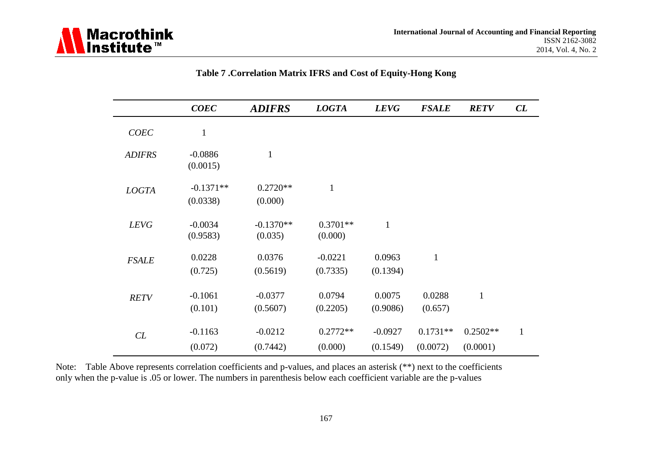

|               | <b>COEC</b>             | <b>ADIFRS</b>          | <b>LOGTA</b>          | <b>LEVG</b>           | <b>FSALE</b>           | <b>RETV</b>            | CL           |
|---------------|-------------------------|------------------------|-----------------------|-----------------------|------------------------|------------------------|--------------|
| <b>COEC</b>   | $\mathbf{1}$            |                        |                       |                       |                        |                        |              |
| <b>ADIFRS</b> | $-0.0886$<br>(0.0015)   | $\mathbf{1}$           |                       |                       |                        |                        |              |
| <b>LOGTA</b>  | $-0.1371**$<br>(0.0338) | $0.2720**$<br>(0.000)  | $\mathbf{1}$          |                       |                        |                        |              |
| <b>LEVG</b>   | $-0.0034$<br>(0.9583)   | $-0.1370**$<br>(0.035) | $0.3701**$<br>(0.000) | $\mathbf{1}$          |                        |                        |              |
| <b>FSALE</b>  | 0.0228<br>(0.725)       | 0.0376<br>(0.5619)     | $-0.0221$<br>(0.7335) | 0.0963<br>(0.1394)    | $\mathbf{1}$           |                        |              |
| <b>RETV</b>   | $-0.1061$<br>(0.101)    | $-0.0377$<br>(0.5607)  | 0.0794<br>(0.2205)    | 0.0075<br>(0.9086)    | 0.0288<br>(0.657)      | $\mathbf{1}$           |              |
| CL            | $-0.1163$<br>(0.072)    | $-0.0212$<br>(0.7442)  | $0.2772**$<br>(0.000) | $-0.0927$<br>(0.1549) | $0.1731**$<br>(0.0072) | $0.2502**$<br>(0.0001) | $\mathbf{1}$ |

## **Table 7 .Correlation Matrix IFRS and Cost of Equity-Hong Kong**

Note: Table Above represents correlation coefficients and p-values, and places an asterisk (\*\*) next to the coefficients only when the p-value is .05 or lower. The numbers in parenthesis below each coefficient variable are the p-values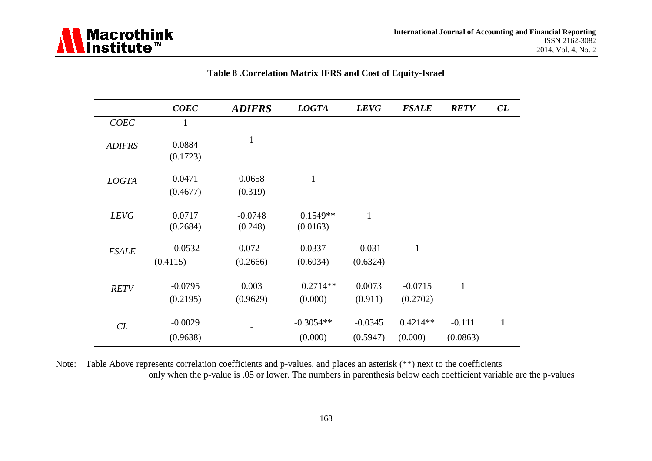

|               | <b>COEC</b>           | <b>ADIFRS</b>        | <b>LOGTA</b>           | <b>LEVG</b>           | <b>FSALE</b>          | <b>RETV</b>          | CL           |
|---------------|-----------------------|----------------------|------------------------|-----------------------|-----------------------|----------------------|--------------|
| COEC          | 1                     |                      |                        |                       |                       |                      |              |
| <b>ADIFRS</b> | 0.0884<br>(0.1723)    | $\mathbf{1}$         |                        |                       |                       |                      |              |
| <b>LOGTA</b>  | 0.0471<br>(0.4677)    | 0.0658<br>(0.319)    | $\mathbf{1}$           |                       |                       |                      |              |
| <b>LEVG</b>   | 0.0717<br>(0.2684)    | $-0.0748$<br>(0.248) | $0.1549**$<br>(0.0163) | $\mathbf{1}$          |                       |                      |              |
| <b>FSALE</b>  | $-0.0532$<br>(0.4115) | 0.072<br>(0.2666)    | 0.0337<br>(0.6034)     | $-0.031$<br>(0.6324)  | $\mathbf{1}$          |                      |              |
| <b>RETV</b>   | $-0.0795$<br>(0.2195) | 0.003<br>(0.9629)    | $0.2714**$<br>(0.000)  | 0.0073<br>(0.911)     | $-0.0715$<br>(0.2702) | $\mathbf{1}$         |              |
| CL            | $-0.0029$<br>(0.9638) |                      | $-0.3054**$<br>(0.000) | $-0.0345$<br>(0.5947) | $0.4214**$<br>(0.000) | $-0.111$<br>(0.0863) | $\mathbf{1}$ |

### **Table 8 .Correlation Matrix IFRS and Cost of Equity-Israel**

Note: Table Above represents correlation coefficients and p-values, and places an asterisk (\*\*) next to the coefficients only when the p-value is .05 or lower. The numbers in parenthesis below each coefficient variable are the p-values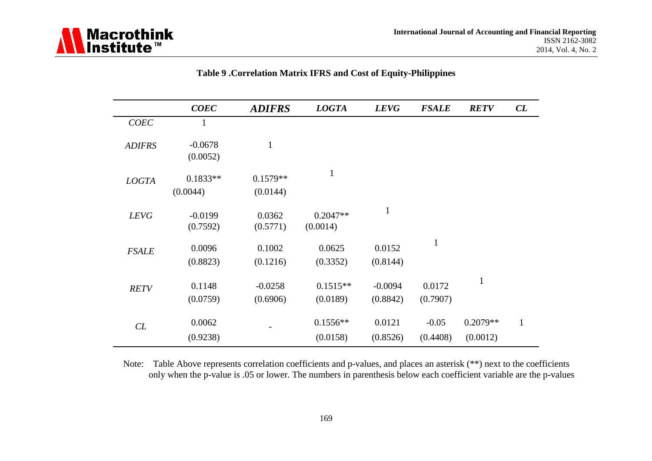

|               | <b>COEC</b>            | <b>ADIFRS</b>          | <b>LOGTA</b>           | <b>LEVG</b>           | <b>FSALE</b>        | <b>RETV</b>            | CL           |
|---------------|------------------------|------------------------|------------------------|-----------------------|---------------------|------------------------|--------------|
| <b>COEC</b>   | 1                      |                        |                        |                       |                     |                        |              |
| <b>ADIFRS</b> | $-0.0678$<br>(0.0052)  | $\mathbf{1}$           |                        |                       |                     |                        |              |
| <b>LOGTA</b>  | $0.1833**$<br>(0.0044) | $0.1579**$<br>(0.0144) | $\mathbf{1}$           |                       |                     |                        |              |
| <b>LEVG</b>   | $-0.0199$<br>(0.7592)  | 0.0362<br>(0.5771)     | $0.2047**$<br>(0.0014) | $\mathbf{1}$          |                     |                        |              |
| <b>FSALE</b>  | 0.0096<br>(0.8823)     | 0.1002<br>(0.1216)     | 0.0625<br>(0.3352)     | 0.0152<br>(0.8144)    | $\mathbf{1}$        |                        |              |
| <b>RETV</b>   | 0.1148<br>(0.0759)     | $-0.0258$<br>(0.6906)  | $0.1515**$<br>(0.0189) | $-0.0094$<br>(0.8842) | 0.0172<br>(0.7907)  | $\mathbf{1}$           |              |
| CL            | 0.0062<br>(0.9238)     |                        | $0.1556**$<br>(0.0158) | 0.0121<br>(0.8526)    | $-0.05$<br>(0.4408) | $0.2079**$<br>(0.0012) | $\mathbf{1}$ |

### **Table 9 .Correlation Matrix IFRS and Cost of Equity-Philippines**

 Note: Table Above represents correlation coefficients and p-values, and places an asterisk (\*\*) next to the coefficients only when the p-value is .05 or lower. The numbers in parenthesis below each coefficient variable are the p-values